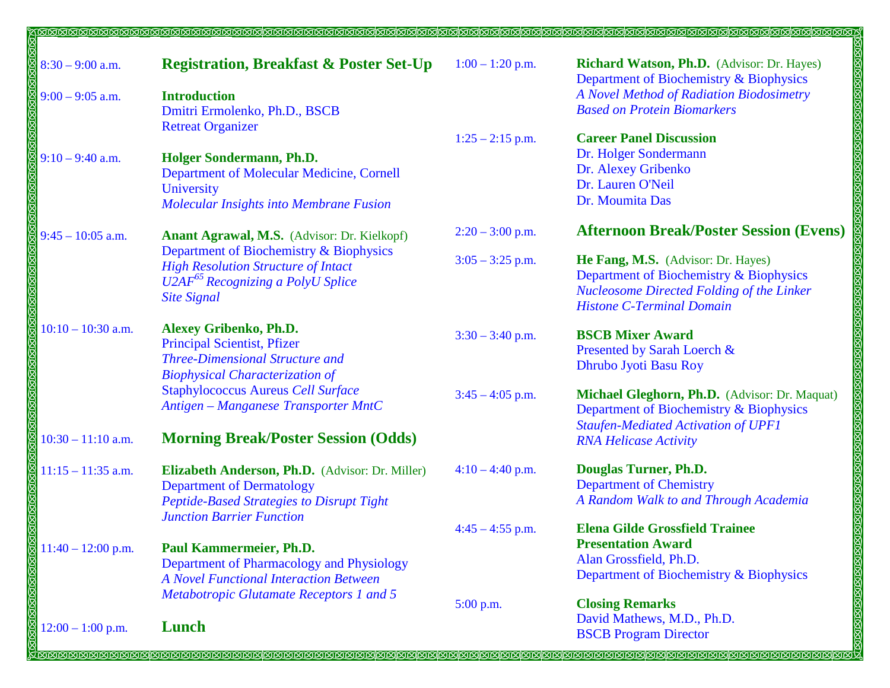| $8:30 - 9:00$ a.m.   | <b>Registration, Breakfast &amp; Poster Set-Up</b> | $1:00 - 1:20$ p.m. | Richard Watson, Ph.D. (Advisor: Dr. Hayes)          |
|----------------------|----------------------------------------------------|--------------------|-----------------------------------------------------|
|                      |                                                    |                    | Department of Biochemistry & Biophysics             |
| $9:00 - 9:05$ a.m.   | <b>Introduction</b>                                |                    | A Novel Method of Radiation Biodosimetry            |
|                      | Dmitri Ermolenko, Ph.D., BSCB                      |                    | <b>Based on Protein Biomarkers</b>                  |
|                      | <b>Retreat Organizer</b>                           |                    | <b>Career Panel Discussion</b>                      |
|                      |                                                    | $1:25 - 2:15$ p.m. | Dr. Holger Sondermann                               |
| $9:10 - 9:40$ a.m.   | Holger Sondermann, Ph.D.                           |                    | Dr. Alexey Gribenko                                 |
|                      | Department of Molecular Medicine, Cornell          |                    | Dr. Lauren O'Neil                                   |
|                      | University                                         |                    | Dr. Moumita Das                                     |
|                      | Molecular Insights into Membrane Fusion            |                    |                                                     |
| $9:45 - 10:05$ a.m.  | Anant Agrawal, M.S. (Advisor: Dr. Kielkopf)        | $2:20 - 3:00$ p.m. | <b>Afternoon Break/Poster Session (Evens)</b>       |
|                      | Department of Biochemistry & Biophysics            | $3:05 - 3:25$ p.m. | He Fang, M.S. (Advisor: Dr. Hayes)                  |
|                      | <b>High Resolution Structure of Intact</b>         |                    | Department of Biochemistry & Biophysics             |
|                      | U2AF <sup>65</sup> Recognizing a PolyU Splice      |                    | <b>Nucleosome Directed Folding of the Linker</b>    |
|                      | <b>Site Signal</b>                                 |                    | <b>Histone C-Terminal Domain</b>                    |
|                      |                                                    |                    |                                                     |
| $10:10 - 10:30$ a.m. | <b>Alexey Gribenko, Ph.D.</b>                      | $3:30 - 3:40$ p.m. | <b>BSCB Mixer Award</b>                             |
|                      | <b>Principal Scientist, Pfizer</b>                 |                    | Presented by Sarah Loerch &                         |
|                      | <b>Three-Dimensional Structure and</b>             |                    | Dhrubo Jyoti Basu Roy                               |
|                      | <b>Biophysical Characterization of</b>             |                    |                                                     |
|                      | <b>Staphylococcus Aureus Cell Surface</b>          | $3:45 - 4:05$ p.m. | Michael Gleghorn, Ph.D. (Advisor: Dr. Maquat)       |
|                      | Antigen - Manganese Transporter MntC               |                    | Department of Biochemistry & Biophysics             |
|                      |                                                    |                    | <b>Staufen-Mediated Activation of UPF1</b>          |
| $10:30 - 11:10$ a.m. | <b>Morning Break/Poster Session (Odds)</b>         |                    | <b>RNA Helicase Activity</b>                        |
| $11:15 - 11:35$ a.m. | Elizabeth Anderson, Ph.D. (Advisor: Dr. Miller)    | $4:10-4:40$ p.m.   | Douglas Turner, Ph.D.                               |
|                      | <b>Department of Dermatology</b>                   |                    | <b>Department of Chemistry</b>                      |
|                      | Peptide-Based Strategies to Disrupt Tight          |                    | A Random Walk to and Through Academia               |
|                      | <b>Junction Barrier Function</b>                   |                    | <b>Elena Gilde Grossfield Trainee</b>               |
|                      |                                                    | $4:45 - 4:55$ p.m. |                                                     |
| $11:40 - 12:00$ p.m. | Paul Kammermeier, Ph.D.                            |                    | <b>Presentation Award</b><br>Alan Grossfield, Ph.D. |
|                      | Department of Pharmacology and Physiology          |                    | Department of Biochemistry & Biophysics             |
|                      | <b>A Novel Functional Interaction Between</b>      |                    |                                                     |
|                      | Metabotropic Glutamate Receptors 1 and 5           | $5:00$ p.m.        | <b>Closing Remarks</b>                              |
|                      |                                                    |                    | David Mathews, M.D., Ph.D.                          |
| $12:00 - 1:00$ p.m.  | Lunch                                              |                    | <b>BSCB</b> Program Director                        |